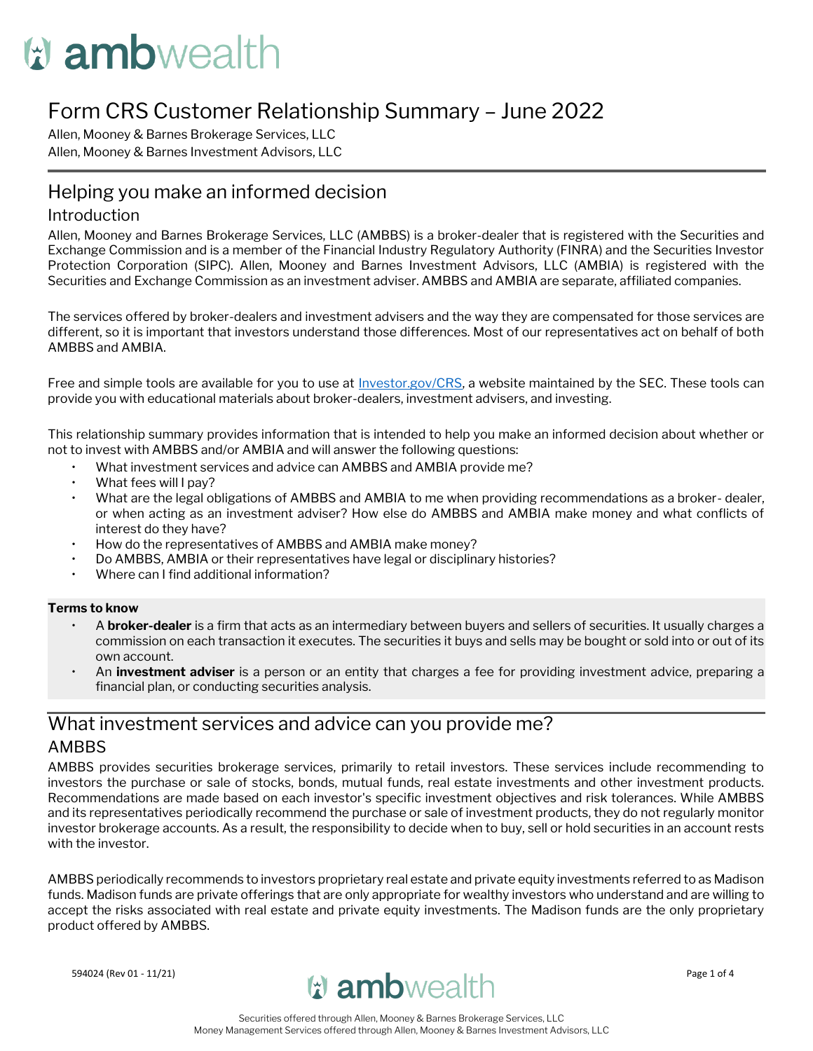# **W** ambwealth

# Form CRS Customer Relationship Summary – June 2022

Allen, Mooney & Barnes Brokerage Services, LLC Allen, Mooney & Barnes Investment Advisors, LLC

# Helping you make an informed decision

#### Introduction

Allen, Mooney and Barnes Brokerage Services, LLC (AMBBS) is a broker-dealer that is registered with the Securities and Exchange Commission and is a member of the Financial Industry Regulatory Authority (FINRA) and the Securities Investor Protection Corporation (SIPC). Allen, Mooney and Barnes Investment Advisors, LLC (AMBIA) is registered with the Securities and Exchange Commission as an investment adviser. AMBBS and AMBIA are separate, affiliated companies.

The services offered by broker-dealers and investment advisers and the way they are compensated for those services are different, so it is important that investors understand those differences. Most of our representatives act on behalf of both AMBBS and AMBIA.

Free and simple tools are available for you to use at [Investor.gov/CRS,](https://www.investor.gov/CRS) a website maintained by the SEC. These tools can provide you with educational materials about broker-dealers, investment advisers, and investing.

This relationship summary provides information that is intended to help you make an informed decision about whether or not to invest with AMBBS and/or AMBIA and will answer the following questions:

- What investment services and advice can AMBBS and AMBIA provide me?
- What fees will I pay?
- What are the legal obligations of AMBBS and AMBIA to me when providing recommendations as a broker- dealer, or when acting as an investment adviser? How else do AMBBS and AMBIA make money and what conflicts of interest do they have?
- How do the representatives of AMBBS and AMBIA make money?
- Do AMBBS, AMBIA or their representatives have legal or disciplinary histories?
- Where can I find additional information?

#### **Terms to know**

- A **broker-dealer** is a firm that acts as an intermediary between buyers and sellers of securities. It usually charges a commission on each transaction it executes. The securities it buys and sells may be bought or sold into or out of its own account.
- An **investment adviser** is a person or an entity that charges a fee for providing investment advice, preparing a financial plan, or conducting securities analysis.

## What investment services and advice can you provide me? AMBBS

AMBBS provides securities brokerage services, primarily to retail investors. These services include recommending to investors the purchase or sale of stocks, bonds, mutual funds, real estate investments and other investment products. Recommendations are made based on each investor's specific investment objectives and risk tolerances. While AMBBS and its representatives periodically recommend the purchase or sale of investment products, they do not regularly monitor investor brokerage accounts. As a result, the responsibility to decide when to buy, sell or hold securities in an account rests with the investor.

AMBBS periodically recommends to investors proprietary real estate and private equity investments referred to as Madison funds. Madison funds are private offerings that are only appropriate for wealthy investors who understand and are willing to accept the risks associated with real estate and private equity investments. The Madison funds are the only proprietary product offered by AMBBS.

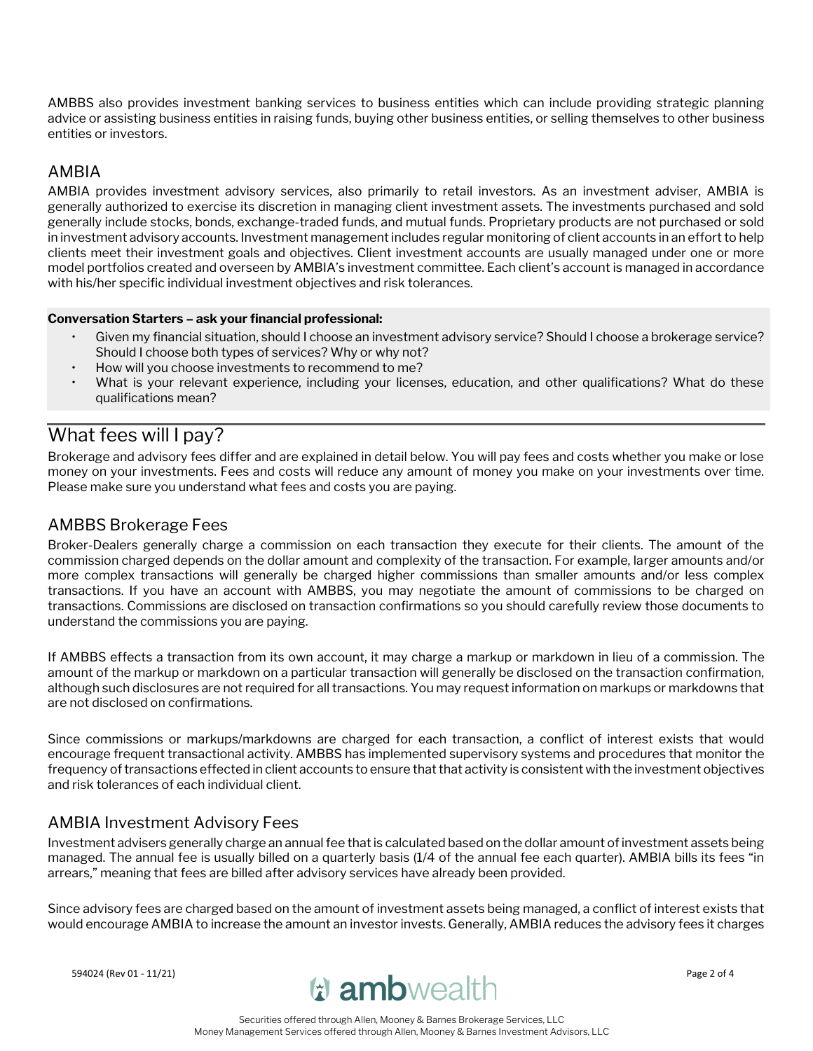AMBBS also provides investment banking services to business entities which can include providing strategic planning advice or assisting business entities in raising funds, buying other business entities, or selling themselves to other business entities or investors.

#### AMBIA

AMBIA provides investment advisory services, also primarily to retail investors. As an investment adviser, AMBIA is generally authorized to exercise its discretion in managing client investment assets. The investments purchased and sold generally include stocks, bonds, exchange-traded funds, and mutual funds. Proprietary products are not purchased or sold in investment advisory accounts. Investment management includes regular monitoring of client accounts in an effort to help clients meet their investment goals and objectives. Client investment accounts are usually managed under one or more model portfolios created and overseen by AMBIA's investment committee. Each client's account is managed in accordance with his/her specific individual investment objectives and risk tolerances.

#### **Conversation Starters – ask your financial professional:**

- Given my financial situation, should I choose an investment advisory service? Should I choose a brokerage service? Should I choose both types of services? Why or why not?
- How will you choose investments to recommend to me?
- What is your relevant experience, including your licenses, education, and other qualifications? What do these qualifications mean?

# What fees will I pay?

Brokerage and advisory fees differ and are explained in detail below. You will pay fees and costs whether you make or lose money on your investments. Fees and costs will reduce any amount of money you make on your investments over time. Please make sure you understand what fees and costs you are paying.

## AMBBS Brokerage Fees

Broker-Dealers generally charge a commission on each transaction they execute for their clients. The amount of the commission charged depends on the dollar amount and complexity of the transaction. For example, larger amounts and/or more complex transactions will generally be charged higher commissions than smaller amounts and/or less complex transactions. If you have an account with AMBBS, you may negotiate the amount of commissions to be charged on transactions. Commissions are disclosed on transaction confirmations so you should carefully review those documents to understand the commissions you are paying.

If AMBBS effects a transaction from its own account, it may charge a markup or markdown in lieu of a commission. The amount of the markup or markdown on a particular transaction will generally be disclosed on the transaction confirmation, although such disclosures are not required for all transactions. You may request information on markups or markdowns that are not disclosed on confirmations.

Since commissions or markups/markdowns are charged for each transaction, a conflict of interest exists that would encourage frequent transactional activity. AMBBS has implemented supervisory systems and procedures that monitor the frequency of transactions effected in client accounts to ensure that that activity is consistent with the investment objectives and risk tolerances of each individual client.

### AMBIA Investment Advisory Fees

Investment advisers generally charge an annual fee that is calculated based on the dollar amount of investment assets being managed. The annual fee is usually billed on a quarterly basis (1/4 of the annual fee each quarter). AMBIA bills its fees "in arrears," meaning that fees are billed after advisory services have already been provided.

Since advisory fees are charged based on the amount of investment assets being managed, a conflict of interest exists that would encourage AMBIA to increase the amount an investor invests. Generally, AMBIA reduces the advisory fees it charges

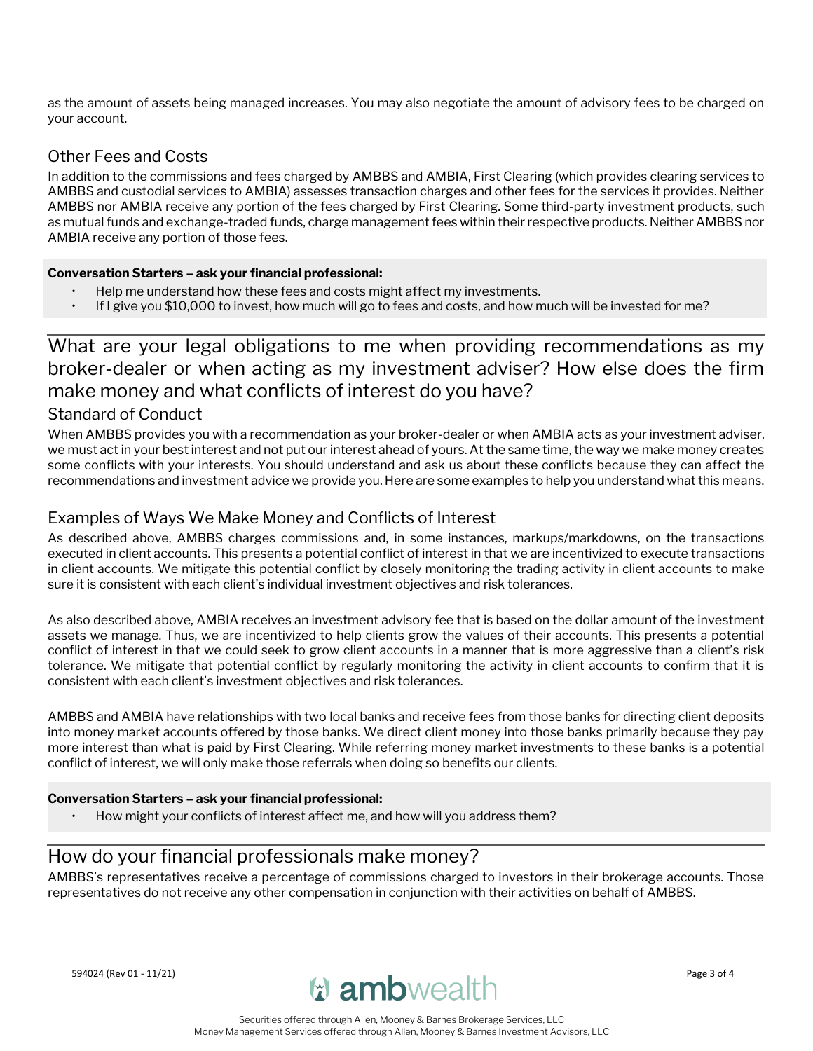as the amount of assets being managed increases. You may also negotiate the amount of advisory fees to be charged on your account.

## Other Fees and Costs

In addition to the commissions and fees charged by AMBBS and AMBIA, First Clearing (which provides clearing services to AMBBS and custodial services to AMBIA) assesses transaction charges and other fees for the services it provides. Neither AMBBS nor AMBIA receive any portion of the fees charged by First Clearing. Some third-party investment products, such as mutual funds and exchange-traded funds, charge management fees within their respective products. Neither AMBBS nor AMBIA receive any portion of those fees.

#### **Conversation Starters – ask your financial professional:**

- Help me understand how these fees and costs might affect my investments.
- If I give you \$10,000 to invest, how much will go to fees and costs, and how much will be invested for me?

# What are your legal obligations to me when providing recommendations as my broker-dealer or when acting as my investment adviser? How else does the firm make money and what conflicts of interest do you have?

#### Standard of Conduct

When AMBBS provides you with a recommendation as your broker-dealer or when AMBIA acts as your investment adviser, we must act in your best interest and not put our interest ahead of yours. At the same time, the way we make money creates some conflicts with your interests. You should understand and ask us about these conflicts because they can affect the recommendations and investment advice we provide you. Here are some examples to help you understand what this means.

## Examples of Ways We Make Money and Conflicts of Interest

As described above, AMBBS charges commissions and, in some instances, markups/markdowns, on the transactions executed in client accounts. This presents a potential conflict of interest in that we are incentivized to execute transactions in client accounts. We mitigate this potential conflict by closely monitoring the trading activity in client accounts to make sure it is consistent with each client's individual investment objectives and risk tolerances.

As also described above, AMBIA receives an investment advisory fee that is based on the dollar amount of the investment assets we manage. Thus, we are incentivized to help clients grow the values of their accounts. This presents a potential conflict of interest in that we could seek to grow client accounts in a manner that is more aggressive than a client's risk tolerance. We mitigate that potential conflict by regularly monitoring the activity in client accounts to confirm that it is consistent with each client's investment objectives and risk tolerances.

AMBBS and AMBIA have relationships with two local banks and receive fees from those banks for directing client deposits into money market accounts offered by those banks. We direct client money into those banks primarily because they pay more interest than what is paid by First Clearing. While referring money market investments to these banks is a potential conflict of interest, we will only make those referrals when doing so benefits our clients.

#### **Conversation Starters – ask your financial professional:**

• How might your conflicts of interest affect me, and how will you address them?

## How do your financial professionals make money?

AMBBS's representatives receive a percentage of commissions charged to investors in their brokerage accounts. Those representatives do not receive any other compensation in conjunction with their activities on behalf of AMBBS.